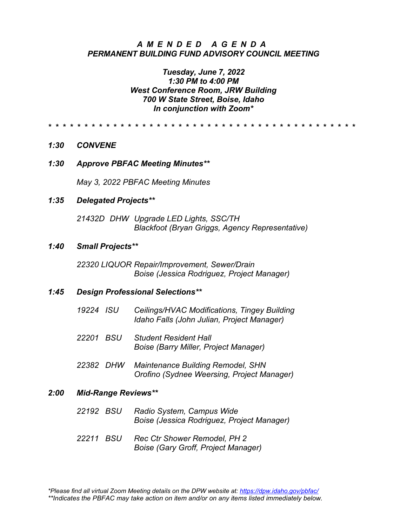# *AMENDED AGEND A PERMANENT BUILDING FUND ADVISORY COUNCIL MEETING*

# *Tuesday, June 7, 2022 1:30 PM to 4:00 PM West Conference Room, JRW Building 700 W State Street, Boise, Idaho In conjunction with Zoom\**

*\* \* \* \* \* \* \* \* \* \* \* \* \* \* \* \* \* \* \* \* \* \* \* \* \* \* \* \* \* \* \* \* \* \* \* \* \* \* \* \* \* \* \**

- *1:30 CONVENE*
- *1:30 Approve PBFAC Meeting Minutes\*\**

*May 3, 2022 PBFAC Meeting Minutes*

#### *1:35 Delegated Projects\*\**

*21432D DHW Upgrade LED Lights, SSC/TH Blackfoot (Bryan Griggs, Agency Representative)*

#### *1:40 Small Projects\*\**

*22320 LIQUOR Repair/Improvement, Sewer/Drain Boise (Jessica Rodriguez, Project Manager)*

#### *1:45 Design Professional Selections\*\**

| 19224 ISU | Ceilings/HVAC Modifications, Tingey Building<br>Idaho Falls (John Julian, Project Manager) |
|-----------|--------------------------------------------------------------------------------------------|
| 22201 BSU | <b>Student Resident Hall</b><br>Boise (Barry Miller, Project Manager)                      |
|           |                                                                                            |

*22382 DHW Maintenance Building Remodel, SHN Orofino (Sydnee Weersing, Project Manager)*

#### *2:00 Mid-Range Reviews\*\**

- *22192 BSU Radio System, Campus Wide Boise (Jessica Rodriguez, Project Manager)*
- *22211 BSU Rec Ctr Shower Remodel, PH 2 Boise (Gary Groff, Project Manager)*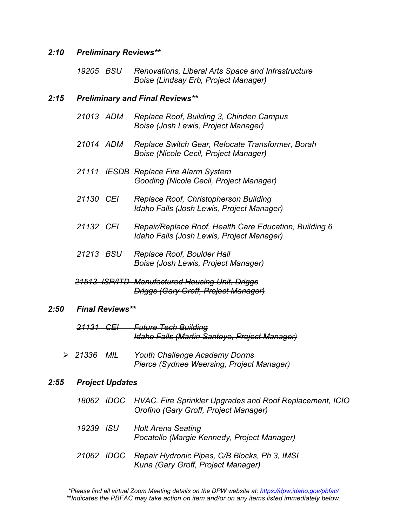## *2:10 Preliminary Reviews\*\**

*19205 BSU Renovations, Liberal Arts Space and Infrastructure Boise (Lindsay Erb, Project Manager)*

# *2:15 Preliminary and Final Reviews\*\**

- *21013 ADM Replace Roof, Building 3, Chinden Campus Boise (Josh Lewis, Project Manager)*
- *21014 ADM Replace Switch Gear, Relocate Transformer, Borah Boise (Nicole Cecil, Project Manager)*
- *21111 IESDB Replace Fire Alarm System Gooding (Nicole Cecil, Project Manager)*
- *21130 CEI Replace Roof, Christopherson Building Idaho Falls (Josh Lewis, Project Manager)*
- *21132 CEI Repair/Replace Roof, Health Care Education, Building 6 Idaho Falls (Josh Lewis, Project Manager)*
- *21213 BSU Replace Roof, Boulder Hall Boise (Josh Lewis, Project Manager)*
- *21513 ISP/ITD Manufactured Housing Unit, Driggs Driggs (Gary Groff, Project Manager)*

#### *2:50 Final Reviews\*\**

- *21131 CEI Future Tech Building Idaho Falls (Martin Santoyo, Project Manager)*
- *21336 MIL Youth Challenge Academy Dorms Pierce (Sydnee Weersing, Project Manager)*

# *2:55 Project Updates*

|           | 18062 IDOC HVAC, Fire Sprinkler Upgrades and Roof Replacement, ICIO<br>Orofino (Gary Groff, Project Manager) |
|-----------|--------------------------------------------------------------------------------------------------------------|
| 19239 ISU | <b>Holt Arena Seating</b><br>Pocatello (Margie Kennedy, Project Manager)                                     |
|           | 21062 IDOC Repair Hydronic Pipes, C/B Blocks, Ph 3, IMSI<br>Kuna (Gary Groff, Project Manager)               |